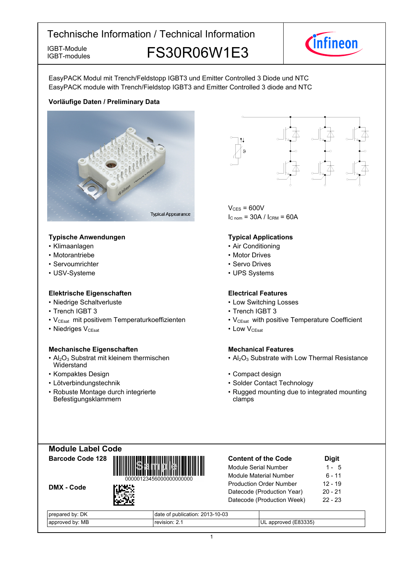

IGBT-Module<br>IGBT-modules FS30R06W1E3



EasyPACK Modul mit Trench/Feldstopp IGBT3 und Emitter Controlled 3 Diode und NTC EasyPACK module with Trench/Fieldstop IGBT3 and Emitter Controlled 3 diode and NTC

## **Vorläufige-Daten-/-Preliminary-Data**



## **Typische-Anwendungen Typical-**

- Klimaanlagen
- Motorantriebe
- Servoumrichter
- USV-Systeme

## **Elektrische Eigenschaften Electrical-**

- Niedrige-Schaltverluste Low-
- Trench IGBT
- V<sub>CEsat</sub> mit positivem Temperaturkoeffizienten V<sub>CEsat</sub>
- Niedriges V<sub>CEsat</sub>

## **Mechanische Eigenschaften Mechanical-**

- $Al_2O_3$  Substrat mit kleinem thermischen **Widerstand**
- Kompaktes Design
- $\cdot$  Lötverbindungstechnik
- Robuste Montage durch integrierte Befestigungsklammern



 $V_{CFS}$  = 600V  $I_{C nom}$  = 30A /  $I_{CRM}$  = 60A

## **Typical Applications**

- Air Conditioning
- Motor Drives
- Servo Drives
- UPS Systems

#### **Electrical Features**

- Switching Losses
- 3 Trench IGBT 3
	- with positive Temperature Coefficient
- $V_{\text{CEsat}}$  Low  $V_{\text{CEsat}}$

## **Mechanical Features**

- Al<sub>2</sub>O<sub>3</sub> Substrate with Low Thermal Resistance
- Design **begins and the Compact design Compact design** 
	- Contact Technology
	- Rugged mounting due to integrated mounting clamps

| <b>Module Label Code</b> |  |
|--------------------------|--|
| Barcode Code 128         |  |



DMX - Code



| <b>Content of the Code</b>     | <b>Digit</b> |
|--------------------------------|--------------|
| Module Serial Number           | 1 - 5        |
| <b>Module Material Number</b>  | 6 - 11       |
| <b>Production Order Number</b> | 12 - 19      |
| Datecode (Production Year)     | $20 - 21$    |
| Datecode (Production Week)     | $22 - 23$    |
|                                |              |

| DK<br>orepared by:    | f publication: 2013-10-03<br>date<br>ப |                                            |
|-----------------------|----------------------------------------|--------------------------------------------|
| MB<br>bv:<br>approved | revision: 2.                           | <sup>1</sup> (E83335)<br>'UL<br>. approved |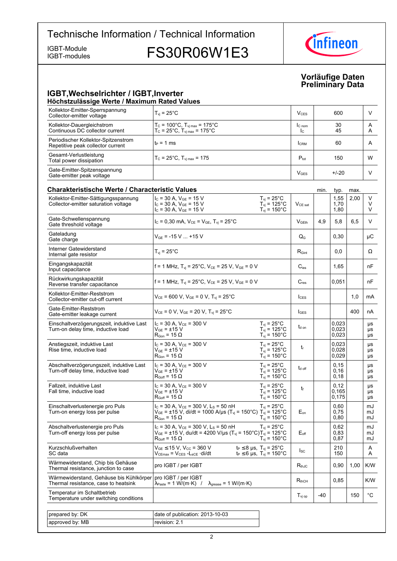IGBT-modules

IGBT-Module<br>IGBT-modules FS30R06W1E3



## **Vorläufige-Daten Preliminary-Data**

#### **IGBT, Wechselrichter / IGBT, Inverter Höchstzulässige-Werte-/-Maximum-Rated-Values**

| Kollektor-Emitter-Sperrspannung<br>Collector-emitter voltage             | $T_{\rm vi}$ = 25°C .                                                                                                | V <sub>CES</sub> | 600      |        |
|--------------------------------------------------------------------------|----------------------------------------------------------------------------------------------------------------------|------------------|----------|--------|
| Kollektor-Dauergleichstrom<br>Continuous DC collector current            | $T_c = 100^{\circ}$ C, $T_{vj \, max} = 175^{\circ}$ C<br>$T_c = 25^{\circ}C$ , $T_{v_i \text{ max}} = 175^{\circ}C$ | $IC$ nom<br>Ic.  | 30<br>45 | A<br>A |
| Periodischer Kollektor-Spitzenstrom<br>Repetitive peak collector current | $t_P = 1$ ms                                                                                                         | <b>ICRM</b>      | 60       | A      |
| Gesamt-Verlustleistung<br>Total power dissipation                        | $T_c = 25^{\circ}$ C, $T_{\text{vi max}} = 175$                                                                      | $P_{\text{tot}}$ | 150      | W      |
| Gate-Emitter-Spitzenspannung<br>Gate-emitter peak voltage                |                                                                                                                      | $V$ GES          | $+/-20$  | v      |

| <b>Charakteristische Werte / Characteristic Values</b>                          |                                                                                                                                                                                              |                                                                                     |                     | min.  | typ.                    | max. |                |
|---------------------------------------------------------------------------------|----------------------------------------------------------------------------------------------------------------------------------------------------------------------------------------------|-------------------------------------------------------------------------------------|---------------------|-------|-------------------------|------|----------------|
| Kollektor-Emitter-Sättigungsspannung<br>Collector-emitter saturation voltage    | $I_C$ = 30 A, $V_{GE}$ = 15 V<br>$I_C$ = 30 A, $V_{GE}$ = 15 V<br>$I_c = 30 A$ , $V_{GE} = 15 V$                                                                                             | $T_{vi}$ = 25°C<br>$T_{\text{vj}}$ = 125°C<br>$T_{\text{vj}}$ = 150°C               | $V_{CE\ sat}$       |       | 1,55<br>1,70<br>1,80    | 2,00 | V<br>V<br>V    |
| Gate-Schwellenspannung<br>Gate threshold voltage                                | $I_C = 0,30$ mA, $V_{CE} = V_{GE}$ , $T_{vi} = 25^{\circ}$ C                                                                                                                                 |                                                                                     | V <sub>GEth</sub>   | 4.9   | 5.8                     | 6.5  | V              |
| Gateladung<br>Gate charge                                                       | $V_{GE}$ = -15 V  +15 V                                                                                                                                                                      |                                                                                     | $Q_{\rm G}$         |       | 0,30                    |      | μC             |
| Interner Gatewiderstand<br>Internal gate resistor                               | $T_{vi}$ = 25°C                                                                                                                                                                              |                                                                                     | $R_{\text{Gint}}$   |       | 0,0                     |      | Ω              |
| Eingangskapazität<br>Input capacitance                                          | f = 1 MHz, $T_{vi}$ = 25°C, $V_{CE}$ = 25 V, $V_{GE}$ = 0 V                                                                                                                                  |                                                                                     | $C_{\text{ies}}$    |       | 1,65                    |      | nF             |
| Rückwirkungskapazität<br>Reverse transfer capacitance                           | f = 1 MHz, $T_{vi}$ = 25°C, $V_{CE}$ = 25 V, $V_{GE}$ = 0 V                                                                                                                                  |                                                                                     | $C_{res}$           |       | 0.051                   |      | nF             |
| Kollektor-Emitter-Reststrom<br>Collector-emitter cut-off current                | $V_{CE}$ = 600 V, $V_{GE}$ = 0 V, $T_{vj}$ = 25°C                                                                                                                                            |                                                                                     | lc <sub>ES</sub>    |       |                         | 1,0  | mA             |
| Gate-Emitter-Reststrom<br>Gate-emitter leakage current                          | $V_{CE}$ = 0 V, $V_{GE}$ = 20 V, $T_{vi}$ = 25°C                                                                                                                                             |                                                                                     | $I_{\text{GES}}$    |       |                         | 400  | nA             |
| Einschaltverzögerungszeit, induktive Last<br>Turn-on delay time, inductive load | $I_C = 30 A$ , $V_{CE} = 300 V$<br>$V_{GF} = \pm 15 V$<br>$R_{\text{Gon}} = 15 \Omega$                                                                                                       | $T_{\rm vj}$ = 25°C<br>$T_{\text{vj}}$ = 125°C<br>$T_{vi}$ = 150 $^{\circ}$ C       | $t_{d \text{ on}}$  |       | 0.023<br>0.023<br>0,023 |      | μs<br>μs<br>μs |
| Anstiegszeit, induktive Last<br>Rise time, inductive load                       | $I_C = 30 A$ , $V_{CE} = 300 V$<br>$V_{GF}$ = $\pm$ 15 V<br>$\mathsf{R}_{\mathsf{Gon}}$ = 15 $\Omega$                                                                                        | $T_{\rm vj}$ = 25°C<br>$T_{vi} = 125^{\circ}$ C<br>$T_{vi}$ = 150 $^{\circ}$ C      | $t_{r}$             |       | 0.023<br>0.028<br>0,029 |      | μs<br>μs<br>μs |
| Abschaltverzögerungszeit, induktive Last<br>Turn-off delay time, inductive load | $I_C$ = 30 A, $V_{CE}$ = 300 V<br>$\rm V_{GE}$ = $\pm 15~\rm V$<br>$R_{Goff}$ = 15 $\Omega$                                                                                                  | $T_{vj} = 25^{\circ}C$<br>$T_{vj} = 125^{\circ}C$<br>$T_{\rm vj} = 150^{\circ}$ C   | $t_{d \text{ off}}$ |       | 0, 15<br>0,16<br>0,18   |      | μs<br>μs<br>μs |
| Fallzeit, induktive Last<br>Fall time, inductive load                           | $I_c = 30 A$ , $V_{CE} = 300 V$<br>$V_{GF}$ = ±15 V<br>$R_{Goff}$ = 15 $\Omega$                                                                                                              | $T_{vi}$ = 25 $^{\circ}$ C<br>$T_{vi}$ = 125°C<br>$T_{vi}$ = 150 $^{\circ}$ C       | t                   |       | 0.12<br>0,165<br>0,175  |      | μs<br>μs<br>μs |
| Einschaltverlustenergie pro Puls<br>Turn-on energy loss per pulse               | $I_C$ = 30 A, $V_{CE}$ = 300 V, L <sub>S</sub> = 50 nH<br>$V_{GE}$ = ±15 V, di/dt = 1000 A/µs (T <sub>vi</sub> = 150°C) T <sub>vi</sub> = 125°C<br>$\mathsf{R}_{\mathsf{Gon}}$ = 15 $\Omega$ | $T_{\rm vj}$ = 25°C<br>$T_{vi}$ = 150 $^{\circ}$ C                                  | $E_{on}$            |       | 0,60<br>0,75<br>0,80    |      | mJ<br>mJ<br>mJ |
| Abschaltverlustenergie pro Puls<br>Turn-off energy loss per pulse               | $I_c = 30$ A, $V_{CE} = 300$ V, $L_s = 50$ nH<br>$V_{GE}$ = ±15 V, du/dt = 4200 V/µs (T <sub>vi</sub> = 150°C)T <sub>vi</sub> = 125°C<br>$R_{\text{Goff}}$ = 15 $\Omega$                     | $T_{\rm vj}$ = 25°C<br>$T_{vi}$ = 150 $^{\circ}$ C                                  | $E_{\text{off}}$    |       | 0.62<br>0.83<br>0,87    |      | mJ<br>mJ<br>mJ |
| Kurzschlußverhalten<br>SC data                                                  | $V_{GE}$ $\leq$ 15 V, V <sub>cc</sub> = 360 V<br>$V_{CEmax}$ = $V_{CES}$ - $L_{sCE}$ ·di/dt                                                                                                  | $t_P \leq 8$ µs, $T_{vj} = 25^{\circ}C$<br>$t_P \le 6$ µs, $T_{vi} = 150^{\circ}$ C | $I_{SC}$            |       | 210<br>150              |      | A<br>A         |
| Wärmewiderstand, Chip bis Gehäuse<br>Thermal resistance, junction to case       | pro IGBT / per IGBT                                                                                                                                                                          |                                                                                     | $R_{thJC}$          |       | 0,90                    | 1,00 | K/W            |
| Wärmewiderstand, Gehäuse bis Kühlkörper<br>Thermal resistance, case to heatsink | pro IGBT / per IGBT<br>$\lambda_{\text{Paste}} = 1 \text{ W/(m} \cdot \text{K)}$ / $\lambda_{\text{grease}} = 1 \text{ W/(m} \cdot \text{K)}$                                                |                                                                                     | $R_{thCH}$          |       | 0.85                    |      | K/W            |
| Temperatur im Schaltbetrieb<br>Temperature under switching conditions           |                                                                                                                                                                                              |                                                                                     | $T_{\rm vj\,op}$    | $-40$ |                         | 150  | $^{\circ}$ C   |
|                                                                                 |                                                                                                                                                                                              |                                                                                     |                     |       |                         |      |                |
| prepared by: DK                                                                 | date of publication: 2013-10-03                                                                                                                                                              |                                                                                     |                     |       |                         |      |                |
| approved by: MB                                                                 | revision: 2.1                                                                                                                                                                                |                                                                                     |                     |       |                         |      |                |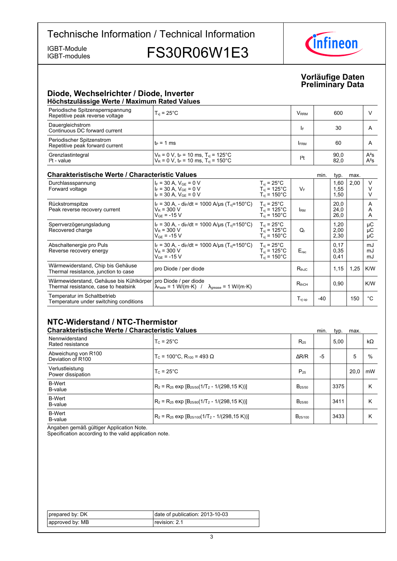IGBT-modules

IGBT-Module<br>IGBT-modules FS30R06W1E3



## **Vorläufige-Daten Preliminary-Data**

## **Diode,-Wechselrichter-/-Diode,-Inverter Höchstzulässige-Werte-/-Maximum-Rated-Values**

| Periodische Spitzensperrspannung<br>Repetitive peak reverse voltage | $T_{vi}$ = 25 $^{\circ}$ C                                                                                                            | <b>V</b> <sub>RRM</sub> | 600          |                  |
|---------------------------------------------------------------------|---------------------------------------------------------------------------------------------------------------------------------------|-------------------------|--------------|------------------|
| Dauergleichstrom<br>Continuous DC forward current                   |                                                                                                                                       | I۴                      | 30           |                  |
| Periodischer Spitzenstrom<br>Repetitive peak forward current        | $t_P = 1$ ms                                                                                                                          | <b>IFRM</b>             | 60           |                  |
| Grenzlastintegral<br>$I2t - value$                                  | $V_R$ = 0 V, t <sub>P</sub> = 10 ms, T <sub>vj</sub> = 125°C<br>V <sub>R</sub> = 0 V, t <sub>P</sub> = 10 ms, T <sub>vj</sub> = 150°C | $12$ t                  | 90,0<br>82,0 | $A^2S$<br>$A^2S$ |

## **Charakteristische Werte / Characteristic**

| <b>Charakteristische Werte / Characteristic Values</b>                          |                                                                                                                       |                                                                            |                              | min. | typ.                 | max. |                |
|---------------------------------------------------------------------------------|-----------------------------------------------------------------------------------------------------------------------|----------------------------------------------------------------------------|------------------------------|------|----------------------|------|----------------|
| Durchlassspannung<br>Forward voltage                                            | $I_F = 30 A$ , $V_{GE} = 0 V$<br>$I_F = 30 A$ , $V_{GE} = 0 V$<br>$I_F = 30 A$ , $V_{GF} = 0 V$                       | $T_{vi}$ = 25°C<br>$T_{\rm vi}$ = 125°C<br>$T_{\rm vi}$ = 150 $^{\circ}$ C | $V_F$                        |      | 1,60<br>1,55<br>1,50 | 2,00 | V              |
| Rückstromspitze<br>Peak reverse recovery current                                | $I_F$ = 30 A, - di <sub>F</sub> /dt = 1000 A/us (T <sub>vi</sub> =150°C)<br>$V_R = 300 V$<br>$V_{GF}$ = -15 V         | $T_{vi}$ = 25°C<br>$T_{\rm vi}$ = 125°C.<br>$T_{\rm vi}$ = 150°C.          | <b>I</b> RM                  |      | 20,0<br>24,0<br>26,0 |      | A<br>A<br>A    |
| Sperrverzögerungsladung<br>Recovered charge                                     | $I_F = 30$ A, - di <sub>F</sub> /dt = 1000 A/us (T <sub>vi</sub> =150 °C)<br>$V_R$ = 300 V<br>$V_{GF}$ = -15 V        | $T_{vi}$ = 25°C<br>$T_{\rm vi}$ = 125°C.<br>$T_{\rm vi}$ = 150°C.          | Q,                           |      | 1,20<br>2,00<br>2,30 |      | μC<br>μC<br>μC |
| Abschaltenergie pro Puls<br>Reverse recovery energy                             | $I_F$ = 30 A, - di <sub>F</sub> /dt = 1000 A/µs (T <sub>vi</sub> =150°C)<br>$V_R$ = 300 V<br>$V_{GF}$ = -15 V         | $T_{\rm vi}$ = 25°C<br>$T_{vi}$ = 125°C<br>$T_{\rm vi}$ = 150°C            | $E_{rec}$                    |      | 0,17<br>0,35<br>0,41 |      | mJ<br>mJ<br>mJ |
| Wärmewiderstand, Chip bis Gehäuse<br>Thermal resistance, junction to case       | pro Diode / per diode                                                                                                 |                                                                            | $R_{th,IC}$                  |      | 1,15                 | 1,25 | K/W            |
| Wärmewiderstand, Gehäuse bis Kühlkörper<br>Thermal resistance, case to heatsink | pro Diode / per diode<br>$\lambda_{\text{Paste}} = 1 \text{ W/(m·K)}$ / $\lambda_{\text{grease}} = 1 \text{ W/(m·K)}$ |                                                                            | $R_{thCH}$                   |      | 0.90                 |      | K/W            |
| Temperatur im Schaltbetrieb<br>Temperature under switching conditions           |                                                                                                                       |                                                                            | $\mathsf{T}_\mathsf{vi\ op}$ | -40  |                      | 150  | °C             |

## **NTC-Widerstand-/-NTC-Thermistor**

| <b>Charakteristische Werte / Characteristic Values</b> |                                                          |                     | min. | typ. | max. |           |
|--------------------------------------------------------|----------------------------------------------------------|---------------------|------|------|------|-----------|
| Nennwiderstand<br>Rated resistance                     | $T_c = 25^{\circ}$ C                                     | $R_{25}$            |      | 5.00 |      | $k\Omega$ |
| Abweichung von R100<br>Deviation of R100               | $T_c$ = 100°C. R <sub>100</sub> = 493 Ω                  | AR/R                | -5   |      | 5    | %         |
| Verlustleistung<br>Power dissipation                   | $T_c = 25^{\circ}$ C                                     | $P_{25}$            |      |      | 20.0 | mW        |
| <b>B-Wert</b><br>B-value                               | $R_2 = R_{25}$ exp $[B_{25/50}(1/T_2 - 1/(298, 15 K))]$  | $B_{25/50}$         |      | 3375 |      | Κ         |
| <b>B-Wert</b><br>B-value                               | $R_2 = R_{25}$ exp $[B_{25/80}(1/T_2 - 1/(298.15 K))]$   | B <sub>25/80</sub>  |      | 3411 |      | Κ         |
| <b>B-Wert</b><br>B-value                               | $R_2 = R_{25}$ exp $[B_{25/100}(1/T_2 - 1/(298, 15 K))]$ | B <sub>25/100</sub> |      | 3433 |      | Κ         |

Angaben gemäß gültiger Application Note.

Specification according to the valid application note.

| prepared by: DK | date of publication: 2013-10-03 |
|-----------------|---------------------------------|
| approved by: MB | revision: 2.1                   |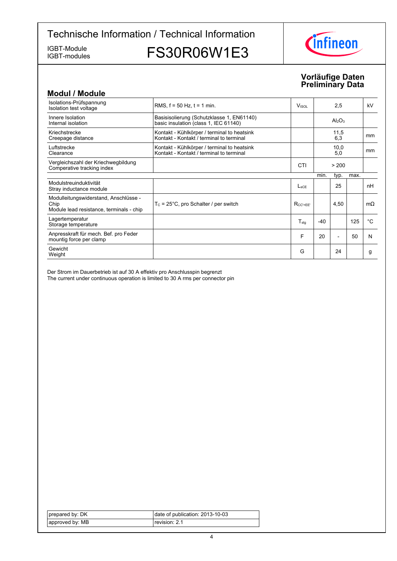IGBT-modules

IGBT-Module<br>IGBT-modules FS30R06W1E3



## **Vorläufige-Daten Preliminary-Data**

| <b>Modul / Module</b>                                                                     |                                                                                         |                          |       |                                |      |           |
|-------------------------------------------------------------------------------------------|-----------------------------------------------------------------------------------------|--------------------------|-------|--------------------------------|------|-----------|
| Isolations-Prüfspannung<br>Isolation test voltage                                         | RMS, $f = 50$ Hz, $t = 1$ min.                                                          | <b>V</b> <sub>ISOL</sub> |       | 2,5                            |      | kV        |
| Innere Isolation<br>Internal isolation                                                    | Basisisolierung (Schutzklasse 1, EN61140)<br>basic insulation (class 1, IEC 61140)      |                          |       | Al <sub>2</sub> O <sub>3</sub> |      |           |
| Kriechstrecke<br>Creepage distance                                                        | Kontakt - Kühlkörper / terminal to heatsink<br>Kontakt - Kontakt / terminal to terminal |                          |       | 11,5<br>6,3                    |      | mm        |
| Luftstrecke<br>Clearance                                                                  | Kontakt - Kühlkörper / terminal to heatsink<br>Kontakt - Kontakt / terminal to terminal |                          |       | 10,0<br>5,0                    |      | mm        |
| Vergleichszahl der Kriechwegbildung<br>Comperative tracking index                         |                                                                                         | CTI                      |       | > 200                          |      |           |
|                                                                                           |                                                                                         |                          | min.  | typ.                           | max. |           |
| Modulstreuinduktivität<br>Stray inductance module                                         |                                                                                         | $L_{\rm sCF}$            |       | 25                             |      | nH        |
| Modulleitungswiderstand, Anschlüsse -<br>Chip<br>Module lead resistance, terminals - chip | $T_c = 25^{\circ}$ C, pro Schalter / per switch                                         | $R_{CC' + FF'}$          |       | 4,50                           |      | $m\Omega$ |
| Lagertemperatur<br>Storage temperature                                                    |                                                                                         | $T_{\sf stg}$            | $-40$ |                                | 125  | °C        |
| Anpresskraft für mech. Bef. pro Feder<br>mountig force per clamp                          |                                                                                         | F                        | 20    |                                | 50   | N         |
| Gewicht<br>Weight                                                                         |                                                                                         | G                        |       | 24                             |      | g         |

Der Strom im Dauerbetrieb ist auf 30 A effektiv pro Anschlusspin begrenzt The current under continuous operation is limited to 30 A rms per connector pin

| prepared by: DK | date of publication: 2013-10-03 |
|-----------------|---------------------------------|
| approved by: MB | revision: 2.1                   |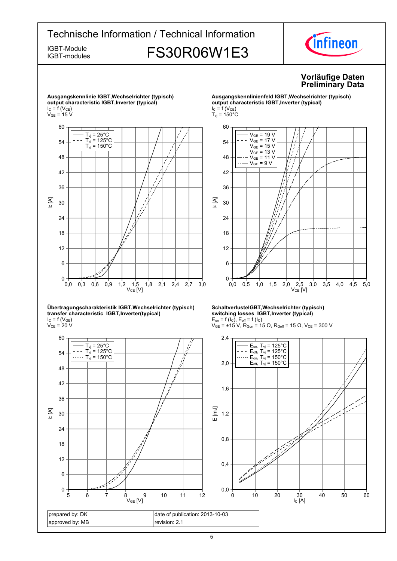## Technische Information / Technical Information IGBT-Module<br>IGBT-modules FS30R06W1E3 IGBT-modules



## **Vorläufige-Daten Preliminary-Data**



#### **Übertragungscharakteristik-IGBT,Wechselrichter-(typisch) transfer-characteristic--IGBT,Inverter(typical)**  $I_{C}$  = f (V<sub>GE</sub>)

 $\rm V_{CE}$  = 20 V



**Ausgangskennlinienfeld-IGBT,Wechselrichter-(typisch) output-characteristic-IGBT,Inverter-(typical)**  $I_C = f(V_{CE})$  $T_{\text{vj}}$  = 150 $^{\circ}$ C



#### **SchaltverlusteIGBT,Wechselrichter-(typisch) switching-losses--IGBT,Inverter-(typical)**  $E_{on}$  = f (l<sub>C</sub>),  $E_{off}$  = f (l<sub>C</sub>)

 $V_{GE}$  = ±15 V, R<sub>Gon</sub> = 15 Ω, R<sub>Goff</sub> = 15 Ω, V<sub>CE</sub> = 300 V

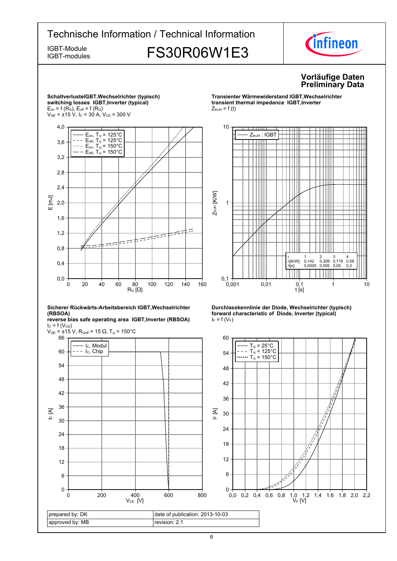

6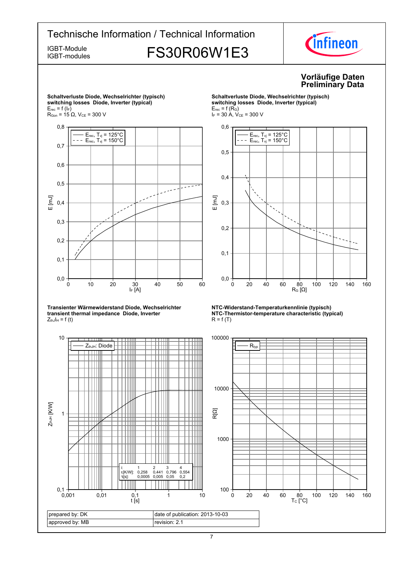IGBT-modules

# IGBT-Module<br>IGBT-modules FS30R06W1E3



## **Vorläufige-Daten Preliminary-Data**



## **Schaltverluste-Diode,-Wechselrichter-(typisch)**  $s$ witching losses Diode, Inverter (typical)



## **NTC-Widerstand-Temperaturkennlinie-(typisch) NTC-Thermistor-temperature-characteristic-(typical)**

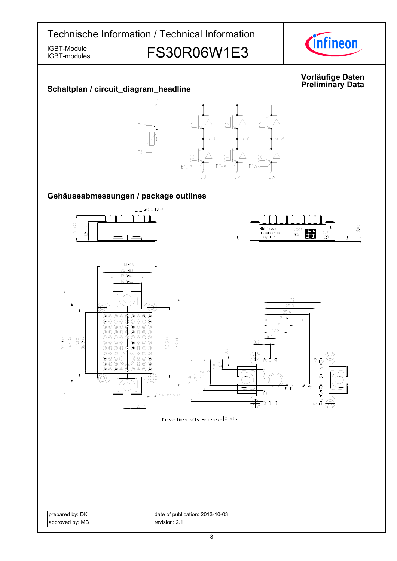IGBT-modules

IGBT-Module<br>IGBT-Modules FS30R06W1E3